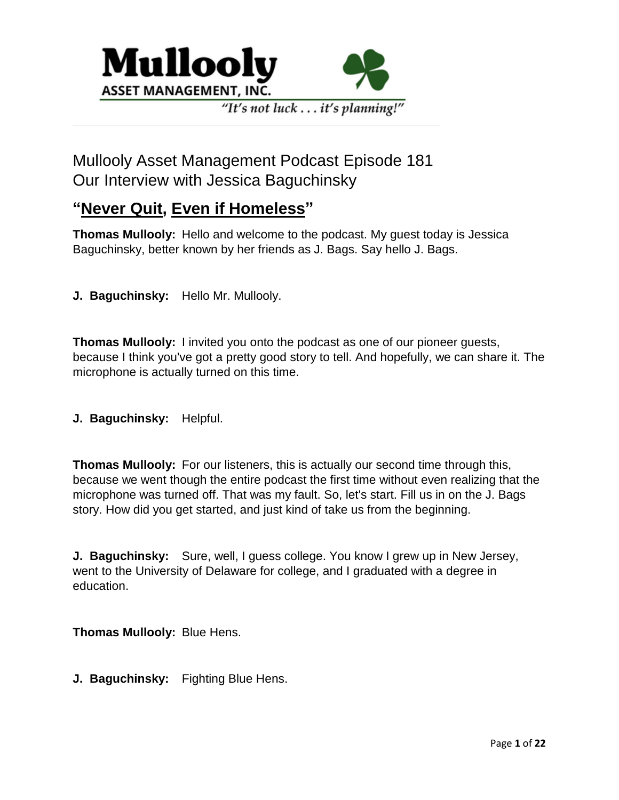

## "It's not luck . . . it's planning!"

# Mullooly Asset Management Podcast Episode 181 Our Interview with Jessica Baguchinsky

## **"Never Quit, Even if Homeless"**

**Thomas Mullooly:** Hello and welcome to the podcast. My guest today is Jessica Baguchinsky, better known by her friends as J. Bags. Say hello J. Bags.

**J. Baguchinsky:** Hello Mr. Mullooly.

**Thomas Mullooly:** I invited you onto the podcast as one of our pioneer guests, because I think you've got a pretty good story to tell. And hopefully, we can share it. The microphone is actually turned on this time.

**J. Baguchinsky:** Helpful.

**Thomas Mullooly:** For our listeners, this is actually our second time through this, because we went though the entire podcast the first time without even realizing that the microphone was turned off. That was my fault. So, let's start. Fill us in on the J. Bags story. How did you get started, and just kind of take us from the beginning.

**J. Baguchinsky:** Sure, well, I guess college. You know I grew up in New Jersey, went to the University of Delaware for college, and I graduated with a degree in education.

**Thomas Mullooly:** Blue Hens.

**J. Baguchinsky:** Fighting Blue Hens.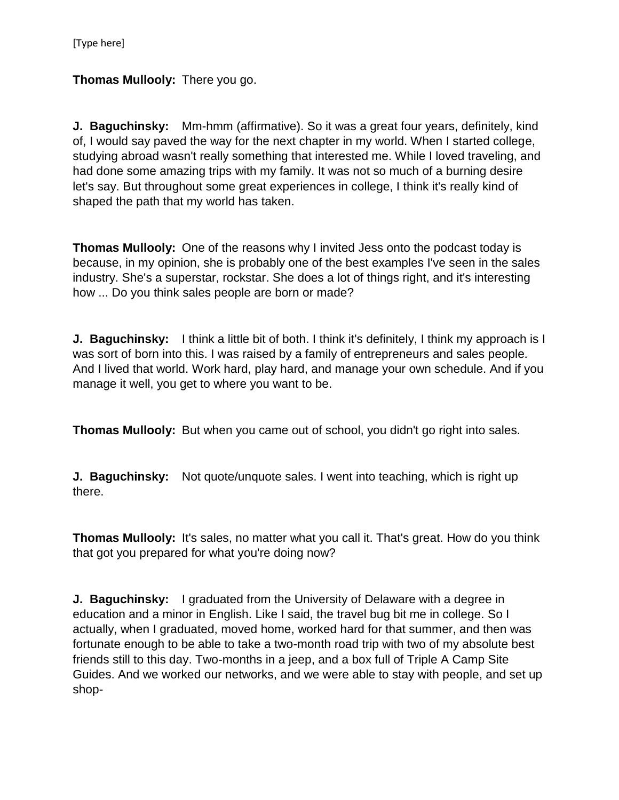## **Thomas Mullooly:** There you go.

**J. Baguchinsky:** Mm-hmm (affirmative). So it was a great four years, definitely, kind of, I would say paved the way for the next chapter in my world. When I started college, studying abroad wasn't really something that interested me. While I loved traveling, and had done some amazing trips with my family. It was not so much of a burning desire let's say. But throughout some great experiences in college, I think it's really kind of shaped the path that my world has taken.

**Thomas Mullooly:** One of the reasons why I invited Jess onto the podcast today is because, in my opinion, she is probably one of the best examples I've seen in the sales industry. She's a superstar, rockstar. She does a lot of things right, and it's interesting how ... Do you think sales people are born or made?

**J. Baguchinsky:** I think a little bit of both. I think it's definitely, I think my approach is I was sort of born into this. I was raised by a family of entrepreneurs and sales people. And I lived that world. Work hard, play hard, and manage your own schedule. And if you manage it well, you get to where you want to be.

**Thomas Mullooly:** But when you came out of school, you didn't go right into sales.

**J. Baguchinsky:** Not quote/unquote sales. I went into teaching, which is right up there.

**Thomas Mullooly:** It's sales, no matter what you call it. That's great. How do you think that got you prepared for what you're doing now?

**J. Baguchinsky:** I graduated from the University of Delaware with a degree in education and a minor in English. Like I said, the travel bug bit me in college. So I actually, when I graduated, moved home, worked hard for that summer, and then was fortunate enough to be able to take a two-month road trip with two of my absolute best friends still to this day. Two-months in a jeep, and a box full of Triple A Camp Site Guides. And we worked our networks, and we were able to stay with people, and set up shop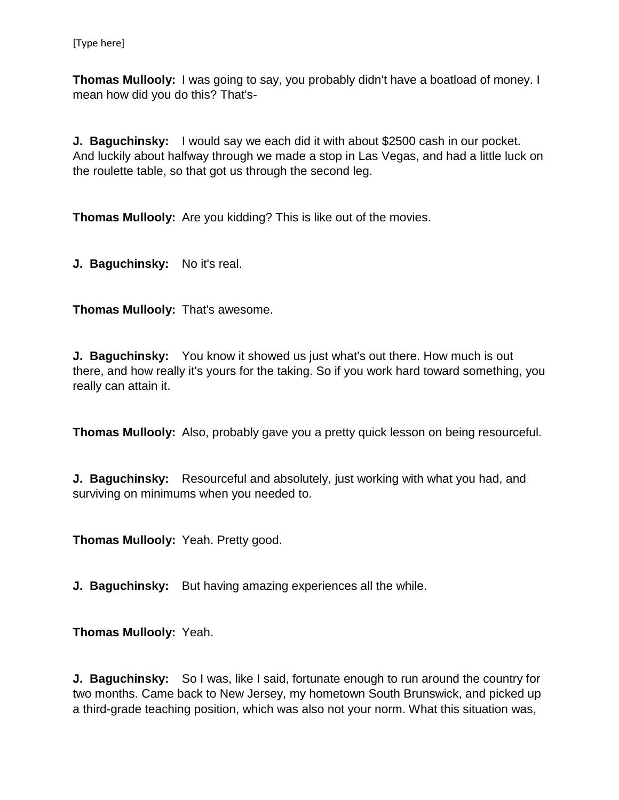**Thomas Mullooly:** I was going to say, you probably didn't have a boatload of money. I mean how did you do this? That's-

**J. Baguchinsky:** I would say we each did it with about \$2500 cash in our pocket. And luckily about halfway through we made a stop in Las Vegas, and had a little luck on the roulette table, so that got us through the second leg.

**Thomas Mullooly:** Are you kidding? This is like out of the movies.

**J. Baguchinsky:** No it's real.

**Thomas Mullooly:** That's awesome.

**J. Baguchinsky:** You know it showed us just what's out there. How much is out there, and how really it's yours for the taking. So if you work hard toward something, you really can attain it.

**Thomas Mullooly:** Also, probably gave you a pretty quick lesson on being resourceful.

**J. Baguchinsky:** Resourceful and absolutely, just working with what you had, and surviving on minimums when you needed to.

**Thomas Mullooly:** Yeah. Pretty good.

**J. Baguchinsky:** But having amazing experiences all the while.

**Thomas Mullooly:** Yeah.

**J. Baguchinsky:** So I was, like I said, fortunate enough to run around the country for two months. Came back to New Jersey, my hometown South Brunswick, and picked up a third-grade teaching position, which was also not your norm. What this situation was,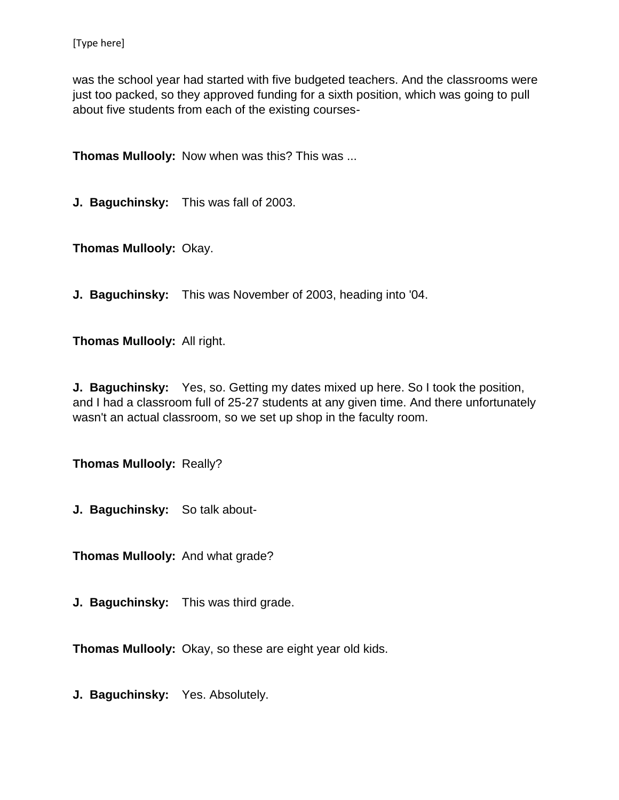was the school year had started with five budgeted teachers. And the classrooms were just too packed, so they approved funding for a sixth position, which was going to pull about five students from each of the existing courses-

**Thomas Mullooly:** Now when was this? This was ...

**J. Baguchinsky:** This was fall of 2003.

**Thomas Mullooly:** Okay.

**J. Baguchinsky:** This was November of 2003, heading into '04.

**Thomas Mullooly:** All right.

**J. Baguchinsky:** Yes, so. Getting my dates mixed up here. So I took the position, and I had a classroom full of 25-27 students at any given time. And there unfortunately wasn't an actual classroom, so we set up shop in the faculty room.

**Thomas Mullooly:** Really?

**J. Baguchinsky:** So talk about-

**Thomas Mullooly:** And what grade?

**J. Baguchinsky:** This was third grade.

**Thomas Mullooly:** Okay, so these are eight year old kids.

**J. Baguchinsky:** Yes. Absolutely.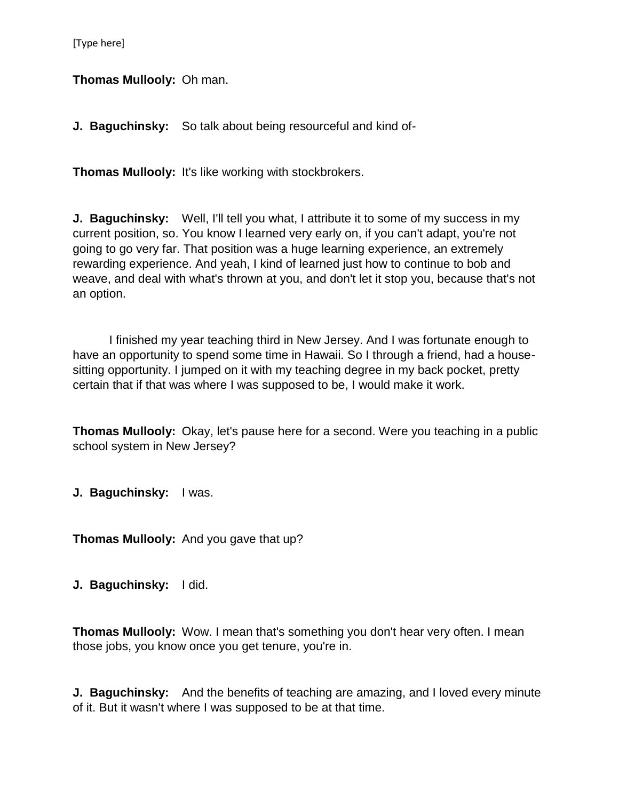[Type here]

**Thomas Mullooly:** Oh man.

**J. Baguchinsky:** So talk about being resourceful and kind of-

**Thomas Mullooly:** It's like working with stockbrokers.

**J. Baguchinsky:** Well, I'll tell you what, I attribute it to some of my success in my current position, so. You know I learned very early on, if you can't adapt, you're not going to go very far. That position was a huge learning experience, an extremely rewarding experience. And yeah, I kind of learned just how to continue to bob and weave, and deal with what's thrown at you, and don't let it stop you, because that's not an option.

I finished my year teaching third in New Jersey. And I was fortunate enough to have an opportunity to spend some time in Hawaii. So I through a friend, had a housesitting opportunity. I jumped on it with my teaching degree in my back pocket, pretty certain that if that was where I was supposed to be, I would make it work.

**Thomas Mullooly:** Okay, let's pause here for a second. Were you teaching in a public school system in New Jersey?

**J. Baguchinsky:** I was.

**Thomas Mullooly:** And you gave that up?

**J. Baguchinsky:** I did.

**Thomas Mullooly:** Wow. I mean that's something you don't hear very often. I mean those jobs, you know once you get tenure, you're in.

**J. Baguchinsky:** And the benefits of teaching are amazing, and I loved every minute of it. But it wasn't where I was supposed to be at that time.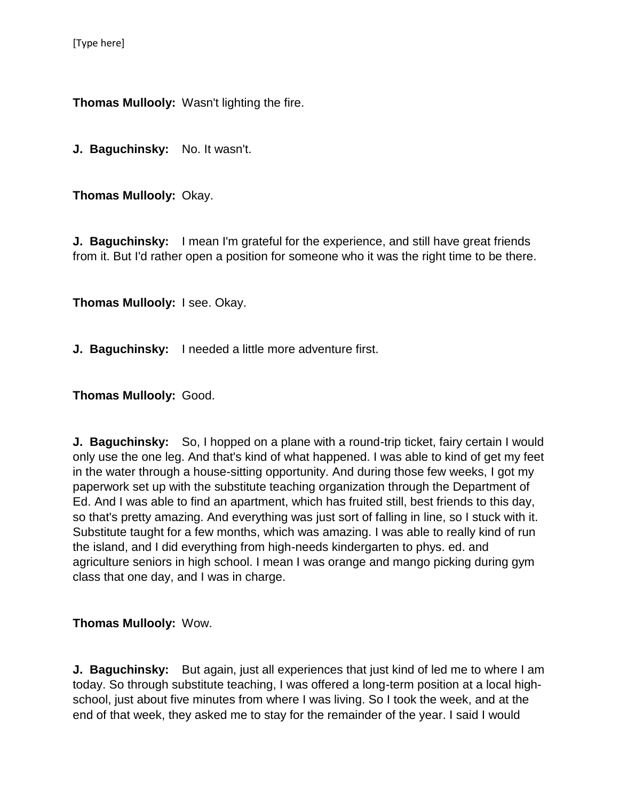**Thomas Mullooly:** Wasn't lighting the fire.

**J. Baguchinsky:** No. It wasn't.

**Thomas Mullooly:** Okay.

**J. Baguchinsky:** I mean I'm grateful for the experience, and still have great friends from it. But I'd rather open a position for someone who it was the right time to be there.

**Thomas Mullooly:** I see. Okay.

**J. Baguchinsky:** I needed a little more adventure first.

**Thomas Mullooly:** Good.

**J. Baguchinsky:** So, I hopped on a plane with a round-trip ticket, fairy certain I would only use the one leg. And that's kind of what happened. I was able to kind of get my feet in the water through a house-sitting opportunity. And during those few weeks, I got my paperwork set up with the substitute teaching organization through the Department of Ed. And I was able to find an apartment, which has fruited still, best friends to this day, so that's pretty amazing. And everything was just sort of falling in line, so I stuck with it. Substitute taught for a few months, which was amazing. I was able to really kind of run the island, and I did everything from high-needs kindergarten to phys. ed. and agriculture seniors in high school. I mean I was orange and mango picking during gym class that one day, and I was in charge.

#### **Thomas Mullooly:** Wow.

**J. Baguchinsky:** But again, just all experiences that just kind of led me to where I am today. So through substitute teaching, I was offered a long-term position at a local highschool, just about five minutes from where I was living. So I took the week, and at the end of that week, they asked me to stay for the remainder of the year. I said I would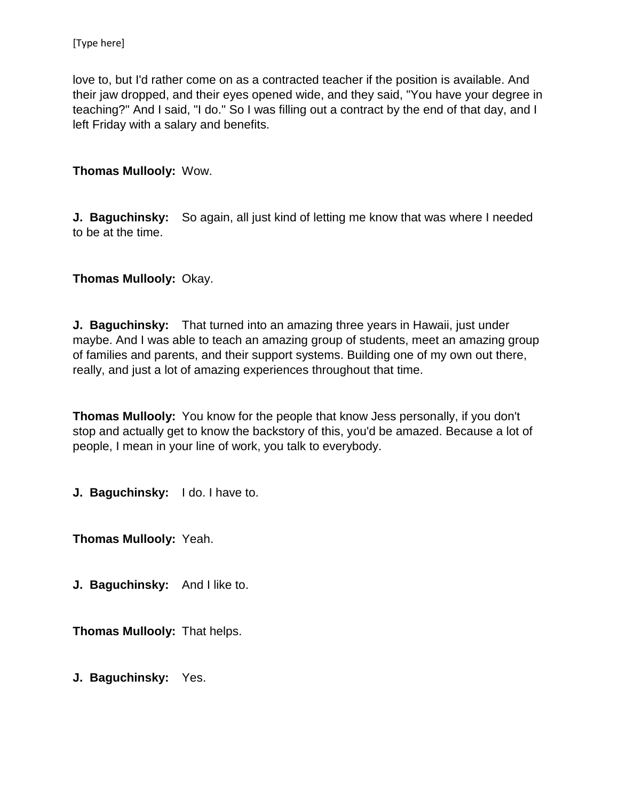love to, but I'd rather come on as a contracted teacher if the position is available. And their jaw dropped, and their eyes opened wide, and they said, "You have your degree in teaching?" And I said, "I do." So I was filling out a contract by the end of that day, and I left Friday with a salary and benefits.

**Thomas Mullooly:** Wow.

**J. Baguchinsky:** So again, all just kind of letting me know that was where I needed to be at the time.

**Thomas Mullooly:** Okay.

**J. Baguchinsky:** That turned into an amazing three years in Hawaii, just under maybe. And I was able to teach an amazing group of students, meet an amazing group of families and parents, and their support systems. Building one of my own out there, really, and just a lot of amazing experiences throughout that time.

**Thomas Mullooly:** You know for the people that know Jess personally, if you don't stop and actually get to know the backstory of this, you'd be amazed. Because a lot of people, I mean in your line of work, you talk to everybody.

**J. Baguchinsky:** I do. I have to.

**Thomas Mullooly:** Yeah.

**J. Baguchinsky:** And I like to.

**Thomas Mullooly:** That helps.

**J. Baguchinsky:** Yes.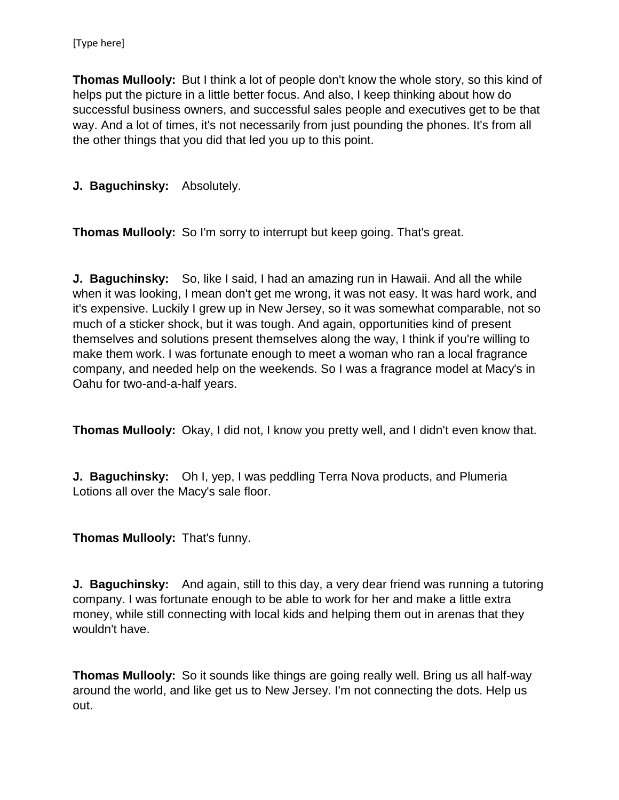**Thomas Mullooly:** But I think a lot of people don't know the whole story, so this kind of helps put the picture in a little better focus. And also, I keep thinking about how do successful business owners, and successful sales people and executives get to be that way. And a lot of times, it's not necessarily from just pounding the phones. It's from all the other things that you did that led you up to this point.

#### **J. Baguchinsky:** Absolutely.

**Thomas Mullooly:** So I'm sorry to interrupt but keep going. That's great.

**J. Baguchinsky:** So, like I said, I had an amazing run in Hawaii. And all the while when it was looking, I mean don't get me wrong, it was not easy. It was hard work, and it's expensive. Luckily I grew up in New Jersey, so it was somewhat comparable, not so much of a sticker shock, but it was tough. And again, opportunities kind of present themselves and solutions present themselves along the way, I think if you're willing to make them work. I was fortunate enough to meet a woman who ran a local fragrance company, and needed help on the weekends. So I was a fragrance model at Macy's in Oahu for two-and-a-half years.

**Thomas Mullooly:** Okay, I did not, I know you pretty well, and I didn't even know that.

**J. Baguchinsky:** Oh I, yep, I was peddling Terra Nova products, and Plumeria Lotions all over the Macy's sale floor.

**Thomas Mullooly:** That's funny.

**J. Baguchinsky:** And again, still to this day, a very dear friend was running a tutoring company. I was fortunate enough to be able to work for her and make a little extra money, while still connecting with local kids and helping them out in arenas that they wouldn't have.

**Thomas Mullooly:** So it sounds like things are going really well. Bring us all half-way around the world, and like get us to New Jersey. I'm not connecting the dots. Help us out.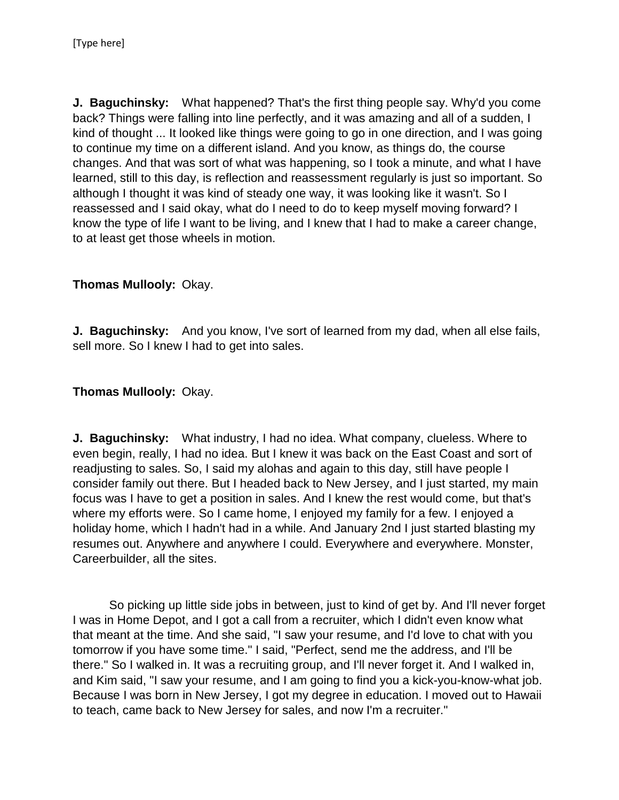**J. Baguchinsky:** What happened? That's the first thing people say. Why'd you come back? Things were falling into line perfectly, and it was amazing and all of a sudden, I kind of thought ... It looked like things were going to go in one direction, and I was going to continue my time on a different island. And you know, as things do, the course changes. And that was sort of what was happening, so I took a minute, and what I have learned, still to this day, is reflection and reassessment regularly is just so important. So although I thought it was kind of steady one way, it was looking like it wasn't. So I reassessed and I said okay, what do I need to do to keep myself moving forward? I know the type of life I want to be living, and I knew that I had to make a career change, to at least get those wheels in motion.

#### **Thomas Mullooly:** Okay.

**J. Baguchinsky:** And you know, I've sort of learned from my dad, when all else fails, sell more. So I knew I had to get into sales.

## **Thomas Mullooly:** Okay.

**J. Baguchinsky:** What industry, I had no idea. What company, clueless. Where to even begin, really, I had no idea. But I knew it was back on the East Coast and sort of readjusting to sales. So, I said my alohas and again to this day, still have people I consider family out there. But I headed back to New Jersey, and I just started, my main focus was I have to get a position in sales. And I knew the rest would come, but that's where my efforts were. So I came home, I enjoyed my family for a few. I enjoyed a holiday home, which I hadn't had in a while. And January 2nd I just started blasting my resumes out. Anywhere and anywhere I could. Everywhere and everywhere. Monster, Careerbuilder, all the sites.

So picking up little side jobs in between, just to kind of get by. And I'll never forget I was in Home Depot, and I got a call from a recruiter, which I didn't even know what that meant at the time. And she said, "I saw your resume, and I'd love to chat with you tomorrow if you have some time." I said, "Perfect, send me the address, and I'll be there." So I walked in. It was a recruiting group, and I'll never forget it. And I walked in, and Kim said, "I saw your resume, and I am going to find you a kick-you-know-what job. Because I was born in New Jersey, I got my degree in education. I moved out to Hawaii to teach, came back to New Jersey for sales, and now I'm a recruiter."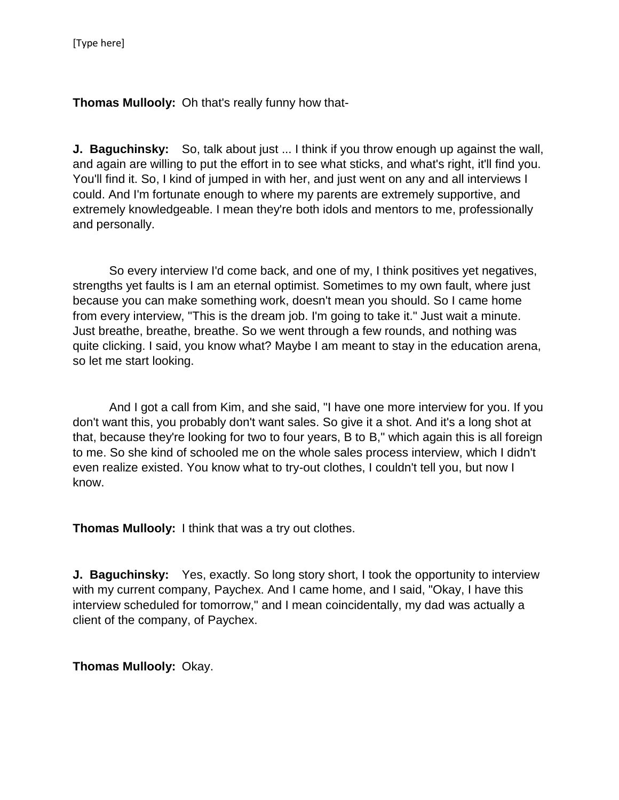**Thomas Mullooly:** Oh that's really funny how that-

**J. Baguchinsky:** So, talk about just ... I think if you throw enough up against the wall, and again are willing to put the effort in to see what sticks, and what's right, it'll find you. You'll find it. So, I kind of jumped in with her, and just went on any and all interviews I could. And I'm fortunate enough to where my parents are extremely supportive, and extremely knowledgeable. I mean they're both idols and mentors to me, professionally and personally.

So every interview I'd come back, and one of my, I think positives yet negatives, strengths yet faults is I am an eternal optimist. Sometimes to my own fault, where just because you can make something work, doesn't mean you should. So I came home from every interview, "This is the dream job. I'm going to take it." Just wait a minute. Just breathe, breathe, breathe. So we went through a few rounds, and nothing was quite clicking. I said, you know what? Maybe I am meant to stay in the education arena, so let me start looking.

And I got a call from Kim, and she said, "I have one more interview for you. If you don't want this, you probably don't want sales. So give it a shot. And it's a long shot at that, because they're looking for two to four years, B to B," which again this is all foreign to me. So she kind of schooled me on the whole sales process interview, which I didn't even realize existed. You know what to try-out clothes, I couldn't tell you, but now I know.

**Thomas Mullooly:** I think that was a try out clothes.

**J. Baguchinsky:** Yes, exactly. So long story short, I took the opportunity to interview with my current company, Paychex. And I came home, and I said, "Okay, I have this interview scheduled for tomorrow," and I mean coincidentally, my dad was actually a client of the company, of Paychex.

**Thomas Mullooly:** Okay.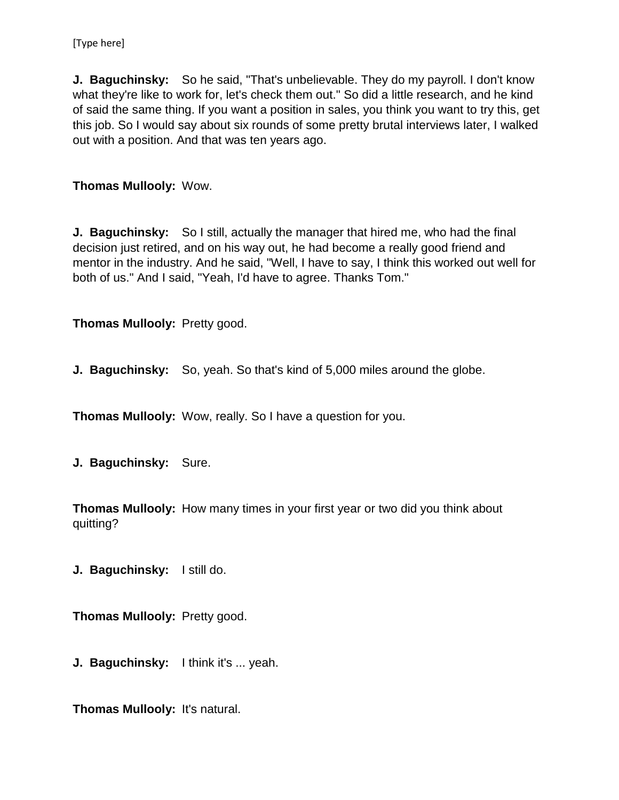**J. Baguchinsky:** So he said, "That's unbelievable. They do my payroll. I don't know what they're like to work for, let's check them out." So did a little research, and he kind of said the same thing. If you want a position in sales, you think you want to try this, get this job. So I would say about six rounds of some pretty brutal interviews later, I walked out with a position. And that was ten years ago.

#### **Thomas Mullooly:** Wow.

**J. Baguchinsky:** So I still, actually the manager that hired me, who had the final decision just retired, and on his way out, he had become a really good friend and mentor in the industry. And he said, "Well, I have to say, I think this worked out well for both of us." And I said, "Yeah, I'd have to agree. Thanks Tom."

**Thomas Mullooly:** Pretty good.

**J. Baguchinsky:** So, yeah. So that's kind of 5,000 miles around the globe.

**Thomas Mullooly:** Wow, really. So I have a question for you.

**J. Baguchinsky:** Sure.

**Thomas Mullooly:** How many times in your first year or two did you think about quitting?

**J. Baguchinsky:** I still do.

**Thomas Mullooly:** Pretty good.

**J. Baguchinsky:** I think it's ... yeah.

**Thomas Mullooly:** It's natural.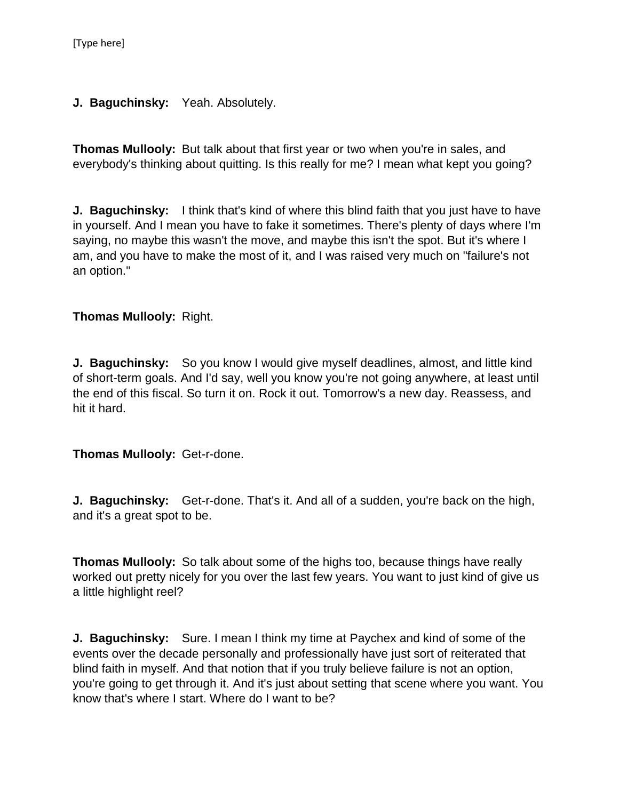**J. Baguchinsky:** Yeah. Absolutely.

**Thomas Mullooly:** But talk about that first year or two when you're in sales, and everybody's thinking about quitting. Is this really for me? I mean what kept you going?

**J. Baguchinsky:** I think that's kind of where this blind faith that you just have to have in yourself. And I mean you have to fake it sometimes. There's plenty of days where I'm saying, no maybe this wasn't the move, and maybe this isn't the spot. But it's where I am, and you have to make the most of it, and I was raised very much on "failure's not an option."

## **Thomas Mullooly:** Right.

**J. Baguchinsky:** So you know I would give myself deadlines, almost, and little kind of short-term goals. And I'd say, well you know you're not going anywhere, at least until the end of this fiscal. So turn it on. Rock it out. Tomorrow's a new day. Reassess, and hit it hard.

**Thomas Mullooly:** Get-r-done.

**J. Baguchinsky:** Get-r-done. That's it. And all of a sudden, you're back on the high, and it's a great spot to be.

**Thomas Mullooly:** So talk about some of the highs too, because things have really worked out pretty nicely for you over the last few years. You want to just kind of give us a little highlight reel?

**J. Baguchinsky:** Sure. I mean I think my time at Paychex and kind of some of the events over the decade personally and professionally have just sort of reiterated that blind faith in myself. And that notion that if you truly believe failure is not an option, you're going to get through it. And it's just about setting that scene where you want. You know that's where I start. Where do I want to be?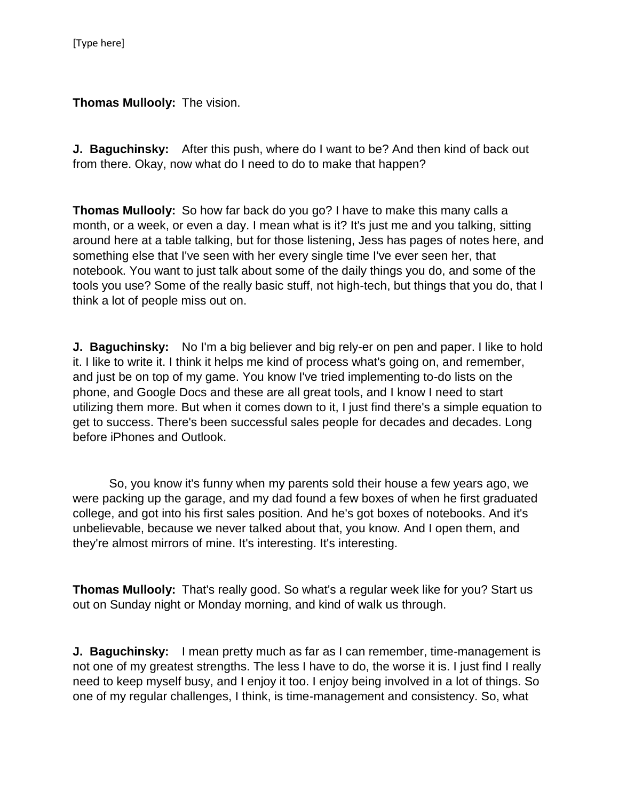**Thomas Mullooly:** The vision.

**J. Baguchinsky:** After this push, where do I want to be? And then kind of back out from there. Okay, now what do I need to do to make that happen?

**Thomas Mullooly:** So how far back do you go? I have to make this many calls a month, or a week, or even a day. I mean what is it? It's just me and you talking, sitting around here at a table talking, but for those listening, Jess has pages of notes here, and something else that I've seen with her every single time I've ever seen her, that notebook. You want to just talk about some of the daily things you do, and some of the tools you use? Some of the really basic stuff, not high-tech, but things that you do, that I think a lot of people miss out on.

**J. Baguchinsky:** No I'm a big believer and big rely-er on pen and paper. I like to hold it. I like to write it. I think it helps me kind of process what's going on, and remember, and just be on top of my game. You know I've tried implementing to-do lists on the phone, and Google Docs and these are all great tools, and I know I need to start utilizing them more. But when it comes down to it, I just find there's a simple equation to get to success. There's been successful sales people for decades and decades. Long before iPhones and Outlook.

So, you know it's funny when my parents sold their house a few years ago, we were packing up the garage, and my dad found a few boxes of when he first graduated college, and got into his first sales position. And he's got boxes of notebooks. And it's unbelievable, because we never talked about that, you know. And I open them, and they're almost mirrors of mine. It's interesting. It's interesting.

**Thomas Mullooly:** That's really good. So what's a regular week like for you? Start us out on Sunday night or Monday morning, and kind of walk us through.

**J. Baguchinsky:** I mean pretty much as far as I can remember, time-management is not one of my greatest strengths. The less I have to do, the worse it is. I just find I really need to keep myself busy, and I enjoy it too. I enjoy being involved in a lot of things. So one of my regular challenges, I think, is time-management and consistency. So, what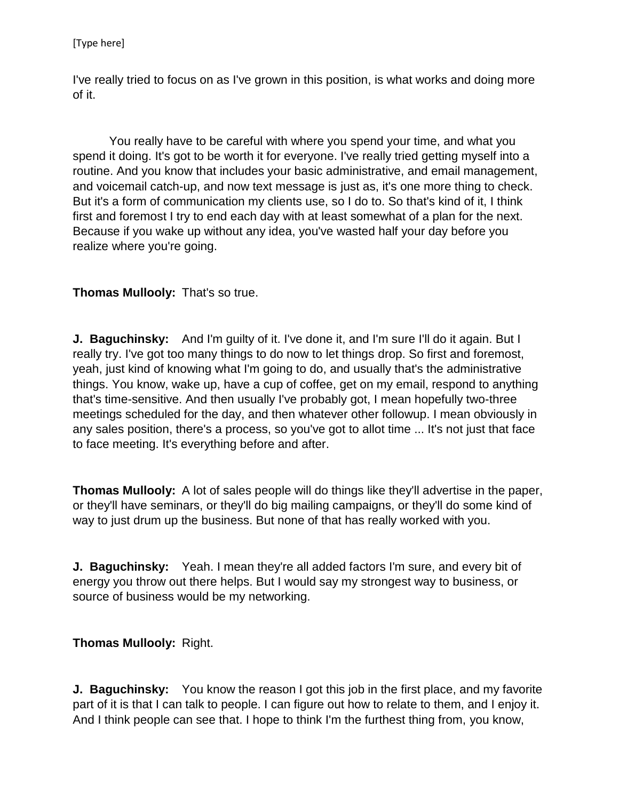I've really tried to focus on as I've grown in this position, is what works and doing more of it.

You really have to be careful with where you spend your time, and what you spend it doing. It's got to be worth it for everyone. I've really tried getting myself into a routine. And you know that includes your basic administrative, and email management, and voicemail catch-up, and now text message is just as, it's one more thing to check. But it's a form of communication my clients use, so I do to. So that's kind of it, I think first and foremost I try to end each day with at least somewhat of a plan for the next. Because if you wake up without any idea, you've wasted half your day before you realize where you're going.

## **Thomas Mullooly:** That's so true.

**J. Baguchinsky:** And I'm quilty of it. I've done it, and I'm sure I'll do it again. But I really try. I've got too many things to do now to let things drop. So first and foremost, yeah, just kind of knowing what I'm going to do, and usually that's the administrative things. You know, wake up, have a cup of coffee, get on my email, respond to anything that's time-sensitive. And then usually I've probably got, I mean hopefully two-three meetings scheduled for the day, and then whatever other followup. I mean obviously in any sales position, there's a process, so you've got to allot time ... It's not just that face to face meeting. It's everything before and after.

**Thomas Mullooly:** A lot of sales people will do things like they'll advertise in the paper, or they'll have seminars, or they'll do big mailing campaigns, or they'll do some kind of way to just drum up the business. But none of that has really worked with you.

**J. Baguchinsky:** Yeah. I mean they're all added factors I'm sure, and every bit of energy you throw out there helps. But I would say my strongest way to business, or source of business would be my networking.

#### **Thomas Mullooly:** Right.

**J. Baguchinsky:** You know the reason I got this job in the first place, and my favorite part of it is that I can talk to people. I can figure out how to relate to them, and I enjoy it. And I think people can see that. I hope to think I'm the furthest thing from, you know,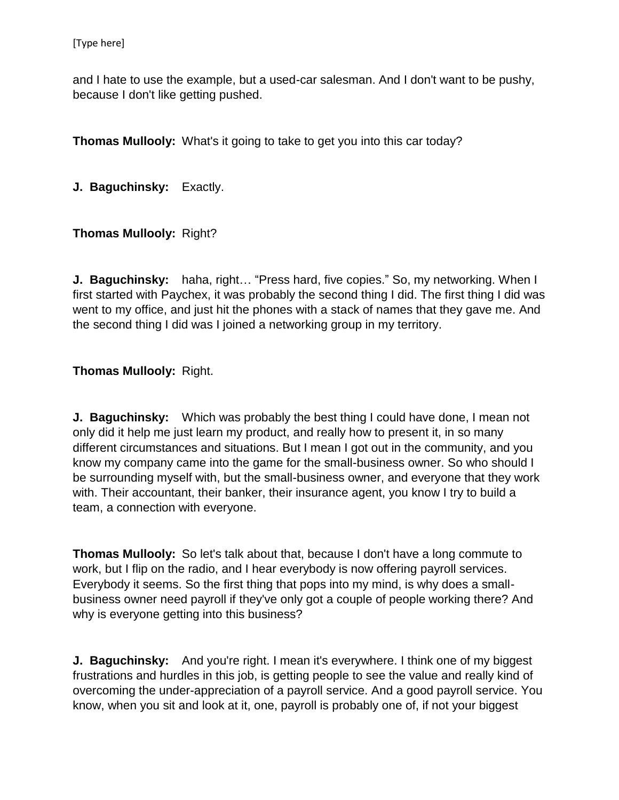and I hate to use the example, but a used-car salesman. And I don't want to be pushy, because I don't like getting pushed.

**Thomas Mullooly:** What's it going to take to get you into this car today?

**J. Baguchinsky:** Exactly.

#### **Thomas Mullooly:** Right?

**J. Baguchinsky:** haha, right… "Press hard, five copies." So, my networking. When I first started with Paychex, it was probably the second thing I did. The first thing I did was went to my office, and just hit the phones with a stack of names that they gave me. And the second thing I did was I joined a networking group in my territory.

#### **Thomas Mullooly:** Right.

**J. Baguchinsky:** Which was probably the best thing I could have done, I mean not only did it help me just learn my product, and really how to present it, in so many different circumstances and situations. But I mean I got out in the community, and you know my company came into the game for the small-business owner. So who should I be surrounding myself with, but the small-business owner, and everyone that they work with. Their accountant, their banker, their insurance agent, you know I try to build a team, a connection with everyone.

**Thomas Mullooly:** So let's talk about that, because I don't have a long commute to work, but I flip on the radio, and I hear everybody is now offering payroll services. Everybody it seems. So the first thing that pops into my mind, is why does a smallbusiness owner need payroll if they've only got a couple of people working there? And why is everyone getting into this business?

**J. Baguchinsky:** And you're right. I mean it's everywhere. I think one of my biggest frustrations and hurdles in this job, is getting people to see the value and really kind of overcoming the under-appreciation of a payroll service. And a good payroll service. You know, when you sit and look at it, one, payroll is probably one of, if not your biggest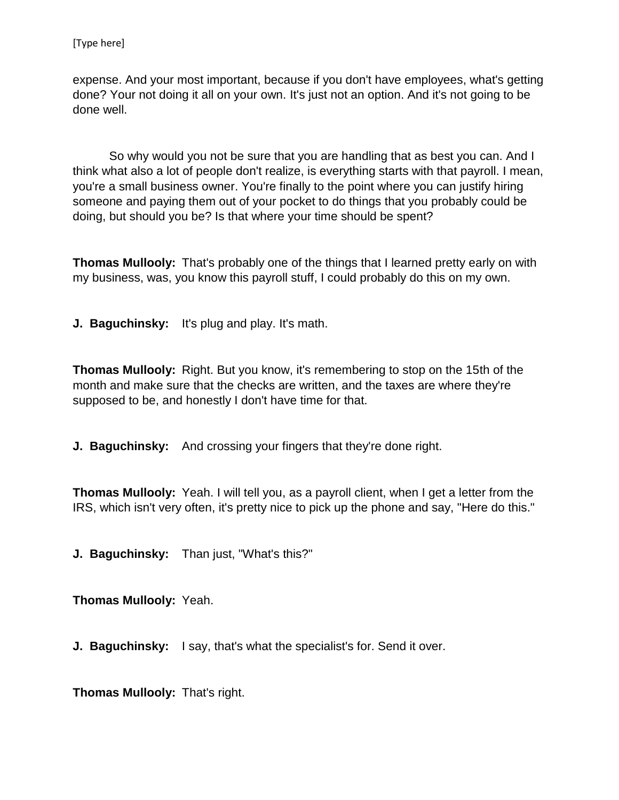expense. And your most important, because if you don't have employees, what's getting done? Your not doing it all on your own. It's just not an option. And it's not going to be done well.

So why would you not be sure that you are handling that as best you can. And I think what also a lot of people don't realize, is everything starts with that payroll. I mean, you're a small business owner. You're finally to the point where you can justify hiring someone and paying them out of your pocket to do things that you probably could be doing, but should you be? Is that where your time should be spent?

**Thomas Mullooly:** That's probably one of the things that I learned pretty early on with my business, was, you know this payroll stuff, I could probably do this on my own.

**J. Baguchinsky:** It's plug and play. It's math.

**Thomas Mullooly:** Right. But you know, it's remembering to stop on the 15th of the month and make sure that the checks are written, and the taxes are where they're supposed to be, and honestly I don't have time for that.

**J. Baguchinsky:** And crossing your fingers that they're done right.

**Thomas Mullooly:** Yeah. I will tell you, as a payroll client, when I get a letter from the IRS, which isn't very often, it's pretty nice to pick up the phone and say, "Here do this."

**J. Baguchinsky:** Than just, "What's this?"

**Thomas Mullooly:** Yeah.

**J. Baguchinsky:** I say, that's what the specialist's for. Send it over.

**Thomas Mullooly:** That's right.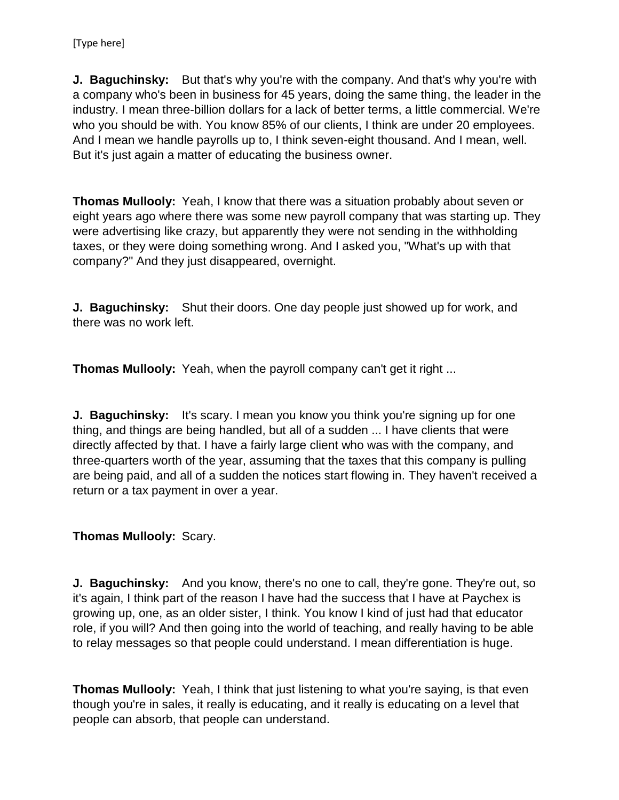**J. Baguchinsky:** But that's why you're with the company. And that's why you're with a company who's been in business for 45 years, doing the same thing, the leader in the industry. I mean three-billion dollars for a lack of better terms, a little commercial. We're who you should be with. You know 85% of our clients, I think are under 20 employees. And I mean we handle payrolls up to, I think seven-eight thousand. And I mean, well. But it's just again a matter of educating the business owner.

**Thomas Mullooly:** Yeah, I know that there was a situation probably about seven or eight years ago where there was some new payroll company that was starting up. They were advertising like crazy, but apparently they were not sending in the withholding taxes, or they were doing something wrong. And I asked you, "What's up with that company?" And they just disappeared, overnight.

**J. Baguchinsky:** Shut their doors. One day people just showed up for work, and there was no work left.

**Thomas Mullooly:** Yeah, when the payroll company can't get it right ...

**J. Baguchinsky:** It's scary. I mean you know you think you're signing up for one thing, and things are being handled, but all of a sudden ... I have clients that were directly affected by that. I have a fairly large client who was with the company, and three-quarters worth of the year, assuming that the taxes that this company is pulling are being paid, and all of a sudden the notices start flowing in. They haven't received a return or a tax payment in over a year.

## **Thomas Mullooly:** Scary.

**J. Baguchinsky:** And you know, there's no one to call, they're gone. They're out, so it's again, I think part of the reason I have had the success that I have at Paychex is growing up, one, as an older sister, I think. You know I kind of just had that educator role, if you will? And then going into the world of teaching, and really having to be able to relay messages so that people could understand. I mean differentiation is huge.

**Thomas Mullooly:** Yeah, I think that just listening to what you're saying, is that even though you're in sales, it really is educating, and it really is educating on a level that people can absorb, that people can understand.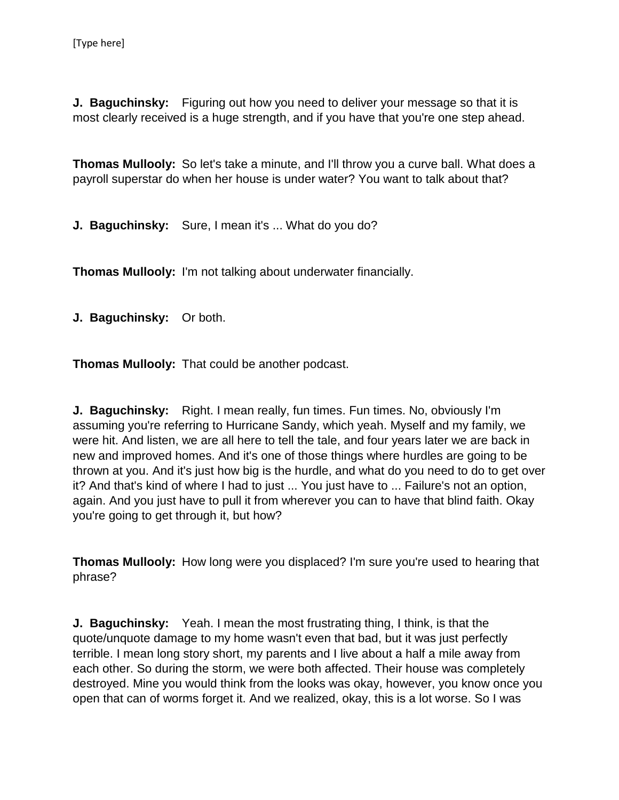**J. Baguchinsky:** Figuring out how you need to deliver your message so that it is most clearly received is a huge strength, and if you have that you're one step ahead.

**Thomas Mullooly:** So let's take a minute, and I'll throw you a curve ball. What does a payroll superstar do when her house is under water? You want to talk about that?

**J. Baguchinsky:** Sure, I mean it's ... What do you do?

**Thomas Mullooly:** I'm not talking about underwater financially.

**J. Baguchinsky:** Or both.

**Thomas Mullooly:** That could be another podcast.

**J. Baguchinsky:** Right. I mean really, fun times. Fun times. No, obviously I'm assuming you're referring to Hurricane Sandy, which yeah. Myself and my family, we were hit. And listen, we are all here to tell the tale, and four years later we are back in new and improved homes. And it's one of those things where hurdles are going to be thrown at you. And it's just how big is the hurdle, and what do you need to do to get over it? And that's kind of where I had to just ... You just have to ... Failure's not an option, again. And you just have to pull it from wherever you can to have that blind faith. Okay you're going to get through it, but how?

**Thomas Mullooly:** How long were you displaced? I'm sure you're used to hearing that phrase?

**J. Baguchinsky:** Yeah. I mean the most frustrating thing, I think, is that the quote/unquote damage to my home wasn't even that bad, but it was just perfectly terrible. I mean long story short, my parents and I live about a half a mile away from each other. So during the storm, we were both affected. Their house was completely destroyed. Mine you would think from the looks was okay, however, you know once you open that can of worms forget it. And we realized, okay, this is a lot worse. So I was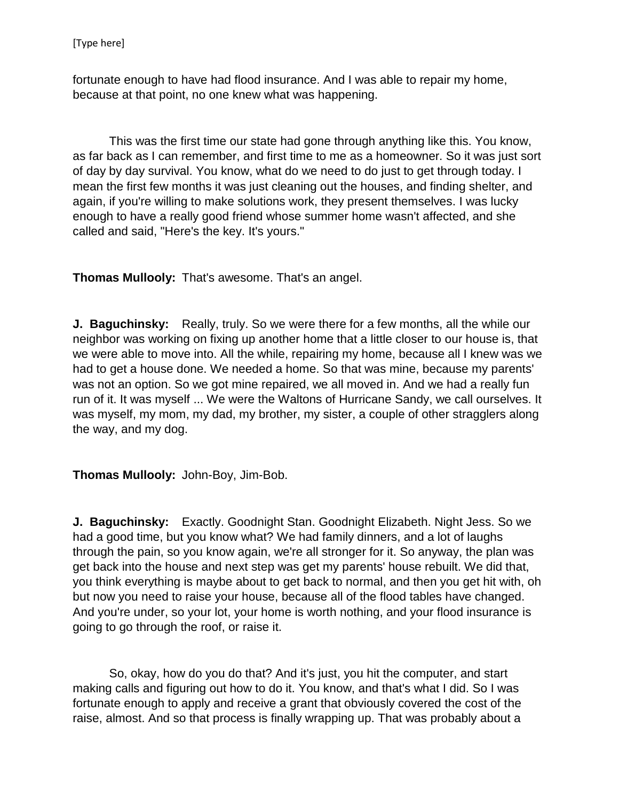fortunate enough to have had flood insurance. And I was able to repair my home, because at that point, no one knew what was happening.

This was the first time our state had gone through anything like this. You know, as far back as I can remember, and first time to me as a homeowner. So it was just sort of day by day survival. You know, what do we need to do just to get through today. I mean the first few months it was just cleaning out the houses, and finding shelter, and again, if you're willing to make solutions work, they present themselves. I was lucky enough to have a really good friend whose summer home wasn't affected, and she called and said, "Here's the key. It's yours."

**Thomas Mullooly:** That's awesome. That's an angel.

**J. Baguchinsky:** Really, truly. So we were there for a few months, all the while our neighbor was working on fixing up another home that a little closer to our house is, that we were able to move into. All the while, repairing my home, because all I knew was we had to get a house done. We needed a home. So that was mine, because my parents' was not an option. So we got mine repaired, we all moved in. And we had a really fun run of it. It was myself ... We were the Waltons of Hurricane Sandy, we call ourselves. It was myself, my mom, my dad, my brother, my sister, a couple of other stragglers along the way, and my dog.

**Thomas Mullooly:** John-Boy, Jim-Bob.

**J. Baguchinsky:** Exactly. Goodnight Stan. Goodnight Elizabeth. Night Jess. So we had a good time, but you know what? We had family dinners, and a lot of laughs through the pain, so you know again, we're all stronger for it. So anyway, the plan was get back into the house and next step was get my parents' house rebuilt. We did that, you think everything is maybe about to get back to normal, and then you get hit with, oh but now you need to raise your house, because all of the flood tables have changed. And you're under, so your lot, your home is worth nothing, and your flood insurance is going to go through the roof, or raise it.

So, okay, how do you do that? And it's just, you hit the computer, and start making calls and figuring out how to do it. You know, and that's what I did. So I was fortunate enough to apply and receive a grant that obviously covered the cost of the raise, almost. And so that process is finally wrapping up. That was probably about a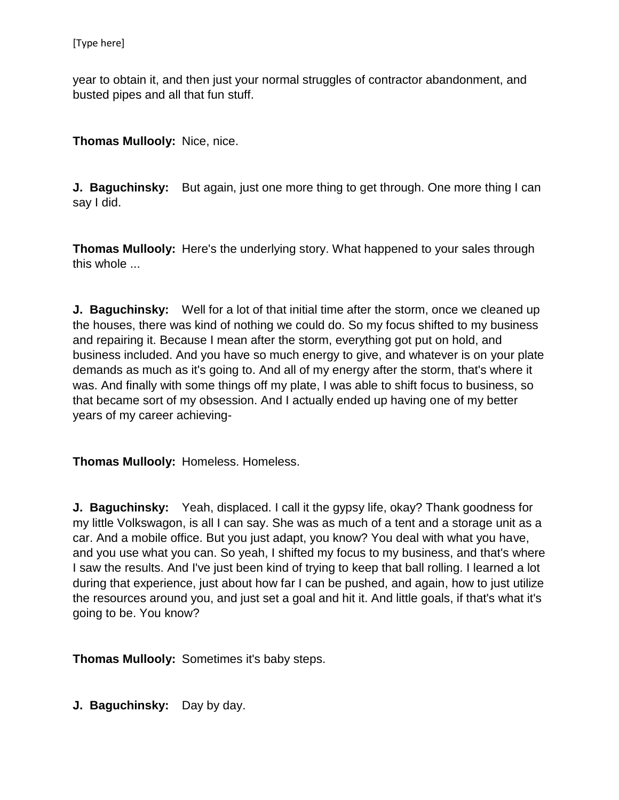year to obtain it, and then just your normal struggles of contractor abandonment, and busted pipes and all that fun stuff.

**Thomas Mullooly:** Nice, nice.

**J. Baguchinsky:** But again, just one more thing to get through. One more thing I can say I did.

**Thomas Mullooly:** Here's the underlying story. What happened to your sales through this whole ...

**J. Baguchinsky:** Well for a lot of that initial time after the storm, once we cleaned up the houses, there was kind of nothing we could do. So my focus shifted to my business and repairing it. Because I mean after the storm, everything got put on hold, and business included. And you have so much energy to give, and whatever is on your plate demands as much as it's going to. And all of my energy after the storm, that's where it was. And finally with some things off my plate, I was able to shift focus to business, so that became sort of my obsession. And I actually ended up having one of my better years of my career achieving-

**Thomas Mullooly:** Homeless. Homeless.

**J. Baguchinsky:** Yeah, displaced. I call it the gypsy life, okay? Thank goodness for my little Volkswagon, is all I can say. She was as much of a tent and a storage unit as a car. And a mobile office. But you just adapt, you know? You deal with what you have, and you use what you can. So yeah, I shifted my focus to my business, and that's where I saw the results. And I've just been kind of trying to keep that ball rolling. I learned a lot during that experience, just about how far I can be pushed, and again, how to just utilize the resources around you, and just set a goal and hit it. And little goals, if that's what it's going to be. You know?

**Thomas Mullooly:** Sometimes it's baby steps.

**J. Baguchinsky:** Day by day.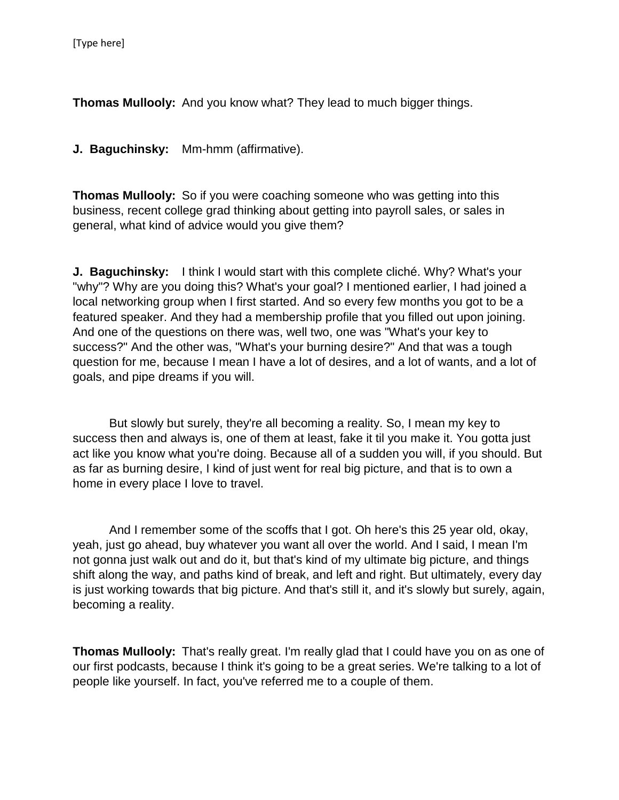**Thomas Mullooly:** And you know what? They lead to much bigger things.

**J. Baguchinsky:** Mm-hmm (affirmative).

**Thomas Mullooly:** So if you were coaching someone who was getting into this business, recent college grad thinking about getting into payroll sales, or sales in general, what kind of advice would you give them?

**J. Baguchinsky:** I think I would start with this complete cliché. Why? What's your "why"? Why are you doing this? What's your goal? I mentioned earlier, I had joined a local networking group when I first started. And so every few months you got to be a featured speaker. And they had a membership profile that you filled out upon joining. And one of the questions on there was, well two, one was "What's your key to success?" And the other was, "What's your burning desire?" And that was a tough question for me, because I mean I have a lot of desires, and a lot of wants, and a lot of goals, and pipe dreams if you will.

But slowly but surely, they're all becoming a reality. So, I mean my key to success then and always is, one of them at least, fake it til you make it. You gotta just act like you know what you're doing. Because all of a sudden you will, if you should. But as far as burning desire, I kind of just went for real big picture, and that is to own a home in every place I love to travel.

And I remember some of the scoffs that I got. Oh here's this 25 year old, okay, yeah, just go ahead, buy whatever you want all over the world. And I said, I mean I'm not gonna just walk out and do it, but that's kind of my ultimate big picture, and things shift along the way, and paths kind of break, and left and right. But ultimately, every day is just working towards that big picture. And that's still it, and it's slowly but surely, again, becoming a reality.

**Thomas Mullooly:** That's really great. I'm really glad that I could have you on as one of our first podcasts, because I think it's going to be a great series. We're talking to a lot of people like yourself. In fact, you've referred me to a couple of them.